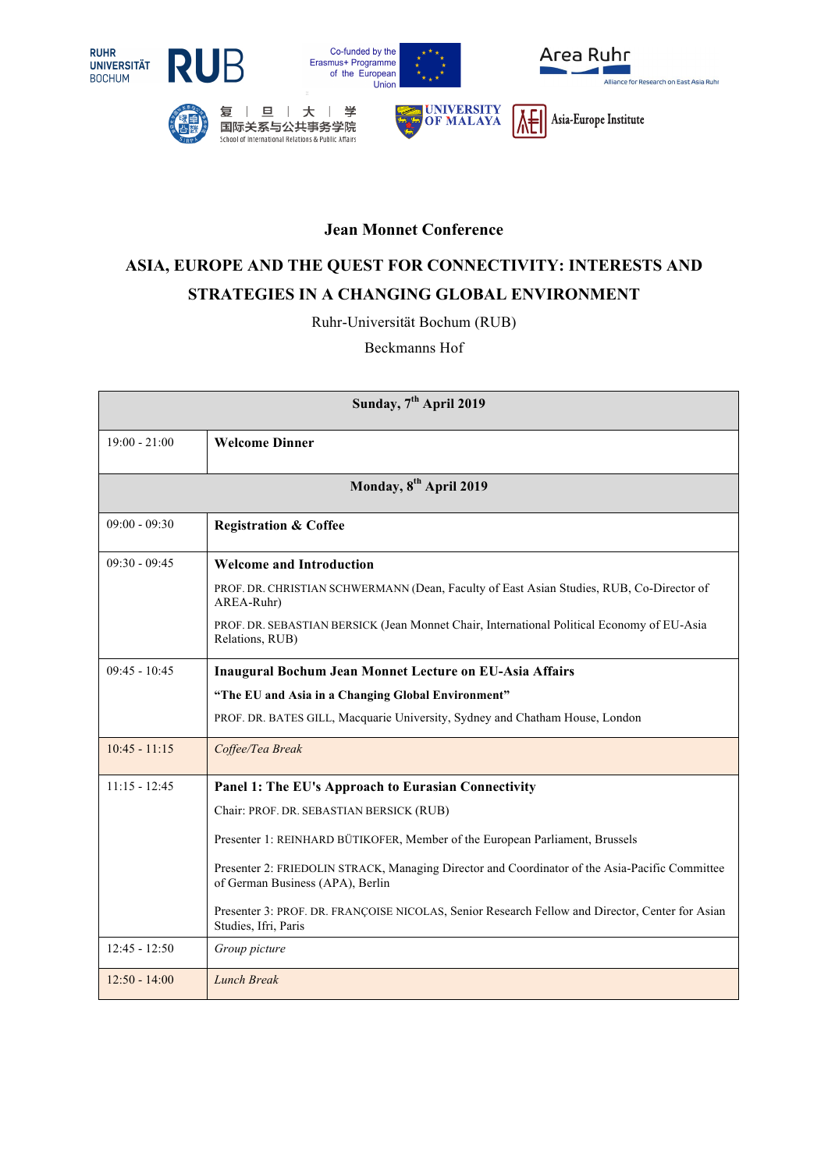



复



国际关系与公共事务学院 School of International Relations & Public Affairs





## **Jean Monnet Conference**

## **ASIA, EUROPE AND THE QUEST FOR CONNECTIVITY: INTERESTS AND STRATEGIES IN A CHANGING GLOBAL ENVIRONMENT**

Ruhr-Universität Bochum (RUB)

Beckmanns Hof

| Sunday, 7 <sup>th</sup> April 2019 |                                                                                                                                    |  |
|------------------------------------|------------------------------------------------------------------------------------------------------------------------------------|--|
| $19:00 - 21:00$                    | <b>Welcome Dinner</b>                                                                                                              |  |
| Monday, 8 <sup>th</sup> April 2019 |                                                                                                                                    |  |
| $09:00 - 09:30$                    | <b>Registration &amp; Coffee</b>                                                                                                   |  |
| $09:30 - 09:45$                    | <b>Welcome and Introduction</b>                                                                                                    |  |
|                                    | PROF. DR. CHRISTIAN SCHWERMANN (Dean, Faculty of East Asian Studies, RUB, Co-Director of<br>AREA-Ruhr)                             |  |
|                                    | PROF. DR. SEBASTIAN BERSICK (Jean Monnet Chair, International Political Economy of EU-Asia<br>Relations, RUB)                      |  |
| $09:45 - 10:45$                    | <b>Inaugural Bochum Jean Monnet Lecture on EU-Asia Affairs</b>                                                                     |  |
|                                    | "The EU and Asia in a Changing Global Environment"                                                                                 |  |
|                                    | PROF. DR. BATES GILL, Macquarie University, Sydney and Chatham House, London                                                       |  |
| $10:45 - 11:15$                    | Coffee/Tea Break                                                                                                                   |  |
| $11:15 - 12:45$                    | Panel 1: The EU's Approach to Eurasian Connectivity                                                                                |  |
|                                    | Chair: PROF. DR. SEBASTIAN BERSICK (RUB)                                                                                           |  |
|                                    | Presenter 1: REINHARD BÜTIKOFER, Member of the European Parliament, Brussels                                                       |  |
|                                    | Presenter 2: FRIEDOLIN STRACK, Managing Director and Coordinator of the Asia-Pacific Committee<br>of German Business (APA), Berlin |  |
|                                    | Presenter 3: PROF. DR. FRANÇOISE NICOLAS, Senior Research Fellow and Director, Center for Asian<br>Studies, Ifri, Paris            |  |
| $12:45 - 12:50$                    | Group picture                                                                                                                      |  |
| $12:50 - 14:00$                    | <b>Lunch Break</b>                                                                                                                 |  |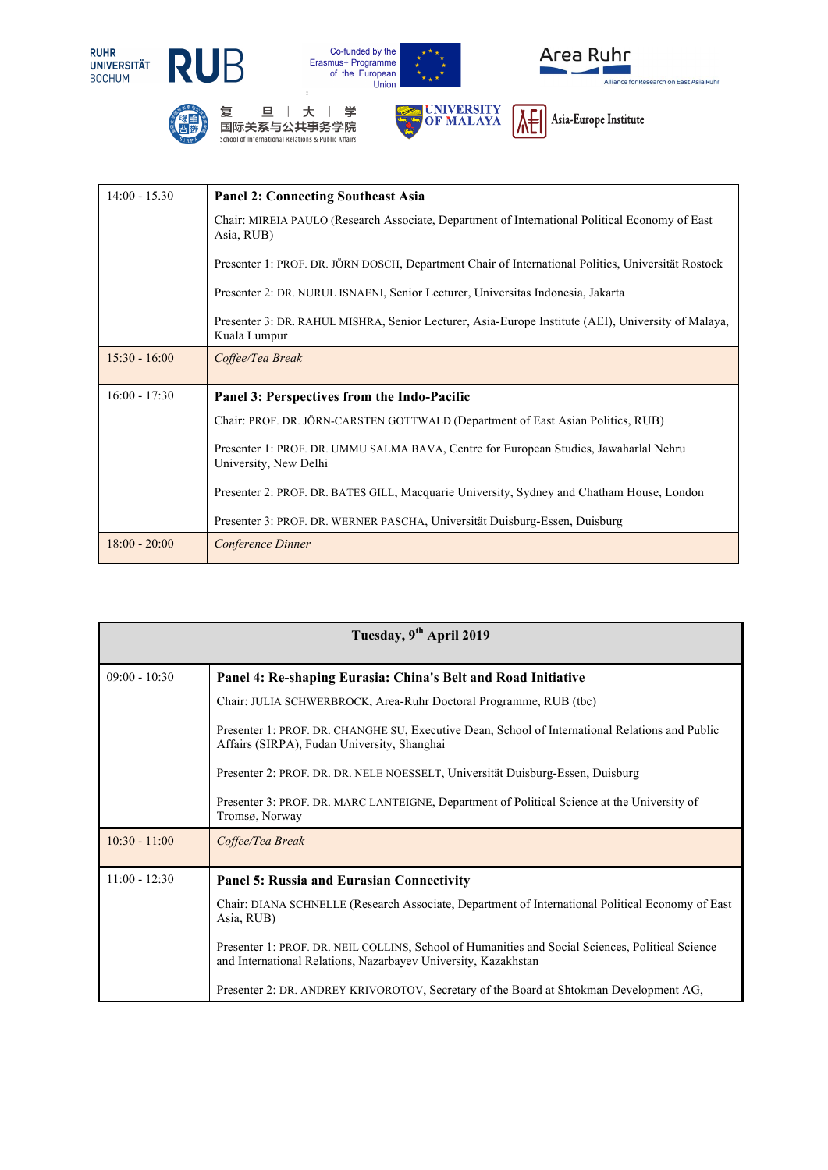















14:00 - 15.30 **Panel 2: Connecting Southeast Asia** Chair: MIREIA PAULO (Research Associate, Department of International Political Economy of East Asia, RUB) Presenter 1: PROF. DR. JÖRN DOSCH, Department Chair of International Politics, Universität Rostock Presenter 2: DR. NURUL ISNAENI, Senior Lecturer, Universitas Indonesia, Jakarta Presenter 3: DR. RAHUL MISHRA, Senior Lecturer, Asia-Europe Institute (AEI), University of Malaya, Kuala Lumpur 15:30 - 16:00 *Coffee/Tea Break* 16:00 - 17:30 **Panel 3: Perspectives from the Indo-Pacific**  Chair: PROF. DR. JÖRN-CARSTEN GOTTWALD (Department of East Asian Politics, RUB) Presenter 1: PROF. DR. UMMU SALMA BAVA, Centre for European Studies, Jawaharlal Nehru University, New Delhi Presenter 2: PROF. DR. BATES GILL, Macquarie University, Sydney and Chatham House, London Presenter 3: PROF. DR. WERNER PASCHA, Universität Duisburg-Essen, Duisburg 18:00 - 20:00 *Conference Dinner*

| Tuesday, 9 <sup>th</sup> April 2019 |                                                                                                                                                                    |
|-------------------------------------|--------------------------------------------------------------------------------------------------------------------------------------------------------------------|
| $09:00 - 10:30$                     | Panel 4: Re-shaping Eurasia: China's Belt and Road Initiative                                                                                                      |
|                                     | Chair: JULIA SCHWERBROCK, Area-Ruhr Doctoral Programme, RUB (tbc)                                                                                                  |
|                                     | Presenter 1: PROF. DR. CHANGHE SU, Executive Dean, School of International Relations and Public<br>Affairs (SIRPA), Fudan University, Shanghai                     |
|                                     | Presenter 2: PROF. DR. DR. NELE NOESSELT, Universität Duisburg-Essen, Duisburg                                                                                     |
|                                     | Presenter 3: PROF. DR. MARC LANTEIGNE, Department of Political Science at the University of<br>Tromsø, Norway                                                      |
| $10:30 - 11:00$                     | Coffee/Tea Break                                                                                                                                                   |
| $11:00 - 12:30$                     | <b>Panel 5: Russia and Eurasian Connectivity</b>                                                                                                                   |
|                                     | Chair: DIANA SCHNELLE (Research Associate, Department of International Political Economy of East<br>Asia, RUB)                                                     |
|                                     | Presenter 1: PROF. DR. NEIL COLLINS, School of Humanities and Social Sciences, Political Science<br>and International Relations, Nazarbayev University, Kazakhstan |
|                                     | Presenter 2: DR. ANDREY KRIVOROTOV, Secretary of the Board at Shtokman Development AG,                                                                             |